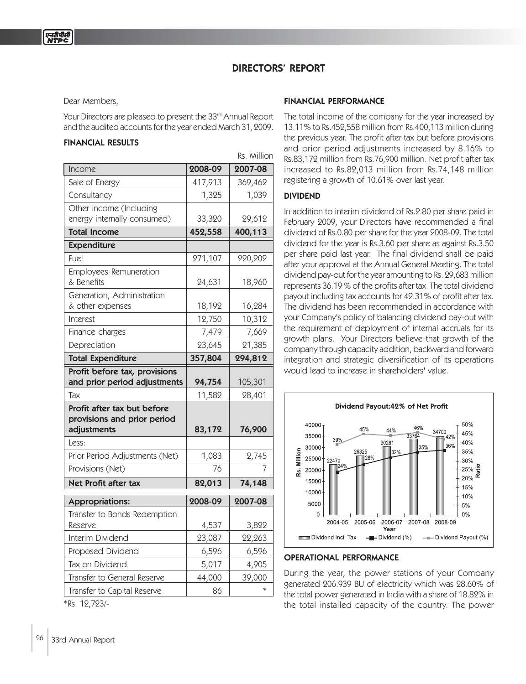# DIRECTORS' REPORT

Rs. Million

Dear Members,

Your Directors are pleased to present the 33rd Annual Report and the audited accounts for the year ended March 31, 2009.

## FINANCIAL RESULTS

|                                                                           |         | KS. <i>IVIIII</i> UI I |
|---------------------------------------------------------------------------|---------|------------------------|
| Income                                                                    | 2008-09 | 2007-08                |
| Sale of Energy                                                            | 417,913 | 369,462                |
| Consultancy                                                               | 1,325   | 1,039                  |
| Other income (Including                                                   |         |                        |
| energy internally consumed)                                               | 33,320  | 29,612                 |
| <b>Total Income</b>                                                       | 452,558 | 400,113                |
| <b>Expenditure</b>                                                        |         |                        |
| Fuel                                                                      | 271,107 | 220,202                |
| Employees Remuneration<br>& Benefits                                      | 24,631  | 18,960                 |
| Generation, Administration<br>& other expenses                            | 18,192  | 16,284                 |
| Interest                                                                  | 12,750  | 10,312                 |
| Finance charges                                                           | 7,479   | 7,669                  |
| Depreciation                                                              | 23,645  | 21,385                 |
| <b>Total Expenditure</b>                                                  | 357,804 | 294,812                |
| Profit before tax, provisions<br>and prior period adjustments             | 94,754  | 105,301                |
| Tax                                                                       | 11,582  | 28,401                 |
| Profit after tax but before<br>provisions and prior period<br>adjustments | 83,172  | 76,900                 |
| Less:                                                                     |         |                        |
| Prior Period Adjustments (Net)                                            | 1,083   | 2,745                  |
| Provisions (Net)                                                          | 76      |                        |
| <b>Net Profit after tax</b>                                               | 82,013  | 74,148                 |
| Appropriations:                                                           | 2008-09 | 2007-08                |
| Transfer to Bonds Redemption<br>Reserve                                   | 4,537   | 3,822                  |
| Interim Dividend                                                          | 23,087  | 22,263                 |
| Proposed Dividend                                                         | 6,596   | 6,596                  |
| Tax on Dividend                                                           | 5,017   | 4,905                  |
| Transfer to General Reserve                                               | 44,000  | 39,000                 |
| Transfer to Capital Reserve                                               | 86      |                        |
|                                                                           |         |                        |

FINANCIAL PERFORMANCE

The total income of the company for the year increased by 13.11% to Rs.452,558 million from Rs.400,113 million during the previous year. The profit after tax but before provisions and prior period adjustments increased by 8.16% to Rs.83,172 million from Rs.76,900 million. Net profit after tax increased to Rs.82,013 million from Rs.74,148 million registering a growth of 10.61% over last year.

#### DIVIDEND

In addition to interim dividend of Rs.2.80 per share paid in February 2009, your Directors have recommended a final dividend of Rs.0.80 per share for the year 2008-09. The total dividend for the year is Rs.3.60 per share as against Rs.3.50 per share paid last year. The final dividend shall be paid after your approval at the Annual General Meeting. The total dividend pay-out for the year amounting to Rs. 29,683 million represents 36.19 % of the profits after tax. The total dividend payout including tax accounts for 42.31% of profit after tax. The dividend has been recommended in accordance with your Company's policy of balancing dividend pay-out with the requirement of deployment of internal accruals for its growth plans. Your Directors believe that growth of the company through capacity addition, backward and forward integration and strategic diversification of its operations would lead to increase in shareholders' value.



#### OPERATIONAL PERFORMANCE

During the year, the power stations of your Company generated 206.939 BU of electricity which was 28.60% of the total power generated in India with a share of 18.82% in the total installed capacity of the country. The power

\*Rs. 12,723/-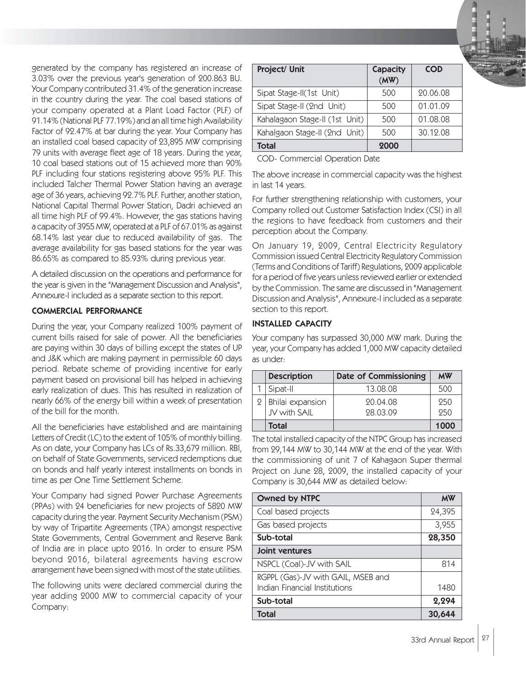generated by the company has registered an increase of 3.03% over the previous year's generation of 200.863 BU. Your Company contributed 31.4% of the generation increase in the country during the year. The coal based stations of your company operated at a Plant Load Factor (PLF) of 91.14% (National PLF 77.19%) and an all time high Availability Factor of 92.47% at bar during the year. Your Company has an installed coal based capacity of 23,895 MW comprising 79 units with average fleet age of 18 years. During the year, 10 coal based stations out of 15 achieved more than 90% PLF including four stations registering above 95% PLF. This included Talcher Thermal Power Station having an average age of 36 years, achieving 92.7% PLF. Further, another station, National Capital Thermal Power Station, Dadri achieved an all time high PLF of 99.4%. However, the gas stations having a capacity of 3955 MW, operated at a PLF of 67.01% as against 68.14% last year due to reduced availability of gas. The average availability for gas based stations for the year was 86.65% as compared to 85.93% during previous year.

A detailed discussion on the operations and performance for the year is given in the "Management Discussion and Analysis", Annexure-I included as a separate section to this report.

## COMMERCIAL PERFORMANCE

During the year, your Company realized 100% payment of current bills raised for sale of power. All the beneficiaries are paying within 30 days of billing except the states of UP and J&K which are making payment in permissible 60 days period. Rebate scheme of providing incentive for early payment based on provisional bill has helped in achieving early realization of dues. This has resulted in realization of nearly 66% of the energy bill within a week of presentation of the bill for the month.

All the beneficiaries have established and are maintaining Letters of Credit (LC) to the extent of 105% of monthly billing. As on date, your Company has LCs of Rs.33,679 million. RBI, on behalf of State Governments, serviced redemptions due on bonds and half yearly interest installments on bonds in time as per One Time Settlement Scheme.

Your Company had signed Power Purchase Agreements (PPAs) with 24 beneficiaries for new projects of 5820 MW capacity during the year. Payment Security Mechanism (PSM) by way of Tripartite Agreements (TPA) amongst respective State Governments, Central Government and Reserve Bank of India are in place upto 2016. In order to ensure PSM beyond 2016, bilateral agreements having escrow arrangement have been signed with most of the state utilities.

The following units were declared commercial during the year adding 2000 MW to commercial capacity of your Company:

| Project/ Unit                  | Capacity<br>(MW) | <b>COD</b> |
|--------------------------------|------------------|------------|
| Sipat Stage-II(1st Unit)       | 500              | 20.06.08   |
| Sipat Stage-II (2nd Unit)      | 500              | 01.01.09   |
| Kahalagaon Stage-II (1st Unit) | 500              | 01.08.08   |
| Kahalgaon Stage-II (2nd Unit)  | 500              | 30.12.08   |
| Total                          | 2000             |            |

COD- Commercial Operation Date

The above increase in commercial capacity was the highest in last 14 years.

For further strengthening relationship with customers, your Company rolled out Customer Satisfaction Index (CSI) in all the regions to have feedback from customers and their perception about the Company.

On January 19, 2009, Central Electricity Regulatory Commission issued Central Electricity Regulatory Commission (Terms and Conditions of Tariff) Regulations, 2009 applicable for a period of five years unless reviewed earlier or extended by the Commission. The same are discussed in "Management Discussion and Analysis", Annexure-I included as a separate section to this report.

## INSTALLED CAPACITY

Your company has surpassed 30,000 MW mark. During the year, your Company has added 1,000 MW capacity detailed as under:

| <b>Description</b>               | <b>Date of Commissioning</b> | <b>MW</b>  |
|----------------------------------|------------------------------|------------|
| Sipat-II                         | 13.08.08                     | 500        |
| Bhilai expansion<br>JV with SAIL | 20.04.08<br>98.03.09         | 250<br>950 |
| Total                            |                              | 1000       |

The total installed capacity of the NTPC Group has increased from 29,144 MW to 30,144 MW at the end of the year. With the commissioning of unit 7 of Kahagaon Super thermal Project on June 28, 2009, the installed capacity of your Company is 30,644 MW as detailed below:

| Owned by NTPC                      | <b>MW</b> |
|------------------------------------|-----------|
| Coal based projects                | 24,395    |
| Gas based projects                 | 3,955     |
| Sub-total                          | 28,350    |
| Joint ventures                     |           |
| NSPCL (Coal)-JV with SAIL          | 814       |
| RGPPL (Gas)-JV with GAIL, MSEB and |           |
| Indian Financial Institutions      | 1480      |
| Sub-total                          | 2,294     |
| <b>Total</b>                       | 30,644    |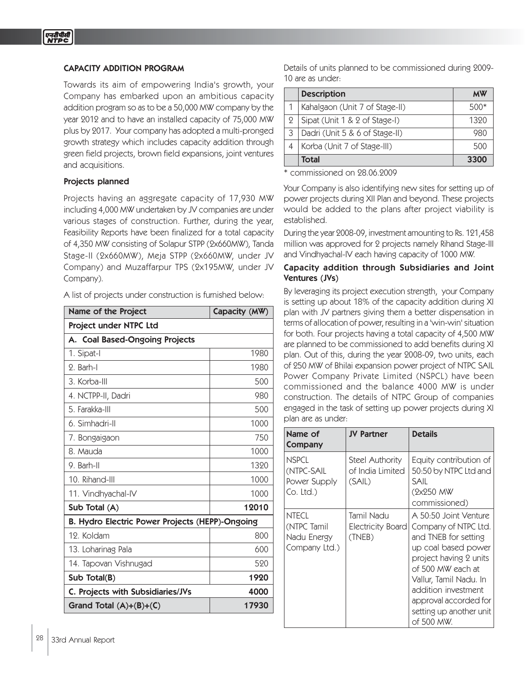## CAPACITY ADDITION PROGRAM

Towards its aim of empowering India's growth, your Company has embarked upon an ambitious capacity addition program so as to be a 50,000 MW company by the year 2012 and to have an installed capacity of 75,000 MW plus by 2017. Your company has adopted a multi-pronged growth strategy which includes capacity addition through green field projects, brown field expansions, joint ventures and acquisitions.

#### Projects planned

Projects having an aggregate capacity of 17,930 MW including 4,000 MW undertaken by JV companies are under various stages of construction. Further, during the year, Feasibility Reports have been finalized for a total capacity of 4,350 MW consisting of Solapur STPP (2x660MW), Tanda Stage-II (2x660MW), Meja STPP (2x660MW, under JV Company) and Muzaffarpur TPS (2x195MW, under JV Company).

A list of projects under construction is furnished below:

| Name of the Project                             | Capacity (MW) |
|-------------------------------------------------|---------------|
| Project under NTPC Ltd                          |               |
| A. Coal Based-Ongoing Projects                  |               |
| 1. Sipat-I                                      | 1980          |
| 2. Barh-I                                       | 1980          |
| 3. Korba-III                                    | 500           |
| 4. NCTPP-II, Dadri                              | 980           |
| 5. Farakka-III                                  | 500           |
| 6. Simhadri-II                                  | 1000          |
| 7. Bongaigaon                                   | 750           |
| 8. Mauda                                        | 1000          |
| 9. Barh-II                                      | 1320          |
| 10. Rihand-III                                  | 1000          |
| 11. Vindhyachal-IV                              | 1000          |
| Sub Total (A)                                   | 12010         |
| B. Hydro Electric Power Projects (HEPP)-Ongoing |               |
| 12. Koldam                                      | 800           |
| 13. Loharinag Pala                              | 600           |
| 14. Tapovan Vishnugad                           | 520           |
| Sub Total(B)                                    | 1920          |
| C. Projects with Subsidiaries/JVs               | 4000          |
| Grand Total $(A)+(B)+(C)$                       | 17930         |

Details of units planned to be commissioned during 2009- 10 are as under:

|   | <b>Description</b>             | мw        |
|---|--------------------------------|-----------|
|   | Kahalgaon (Unit 7 of Stage-II) | $5()()^*$ |
| 9 | Sipat (Unit 1 & 2 of Stage-I)  | 1320      |
| 3 | Dadri (Unit 5 & 6 of Stage-II) | 980       |
|   | Korba (Unit 7 of Stage-III)    | 500       |
|   | Total                          | 3300      |

\* commissioned on 28.06.2009

Your Company is also identifying new sites for setting up of power projects during XII Plan and beyond. These projects would be added to the plans after project viability is established.

During the year 2008-09, investment amounting to Rs. 121,458 million was approved for 2 projects namely Rihand Stage-III and Vindhyachal-IV each having capacity of 1000 MW.

### Capacity addition through Subsidiaries and Joint Ventures (JVs)

By leveraging its project execution strength, your Company is setting up about 18% of the capacity addition during XI plan with JV partners giving them a better dispensation in terms of allocation of power, resulting in a 'win-win' situation for both. Four projects having a total capacity of 4,500 MW are planned to be commissioned to add benefits during XI plan. Out of this, during the year 2008-09, two units, each of 250 MW of Bhilai expansion power project of NTPC SAIL Power Company Private Limited (NSPCL) have been commissioned and the balance 4000 MW is under construction. The details of NTPC Group of companies engaged in the task of setting up power projects during XI plan are as under:

| Name of<br>Company                                          | <b>JV Partner</b>                             | <b>Details</b>                                                                                                                                                                                                                                                 |
|-------------------------------------------------------------|-----------------------------------------------|----------------------------------------------------------------------------------------------------------------------------------------------------------------------------------------------------------------------------------------------------------------|
| <b>NSPCL</b><br>(NTPC-SAIL<br>Power Supply<br>Co. Ltd.)     | Steel Authority<br>of India Limited<br>(SAIL) | Equity contribution of<br>50:50 by NTPC Ltd and<br>SAIL<br>(2x250 MW<br>commissioned)                                                                                                                                                                          |
| <b>NTECL</b><br>(NTPC Tamil<br>Nadu Energy<br>Company Ltd.) | Tamil Nadu<br>Electricity Board<br>(TNEB)     | A 50:50 Joint Venture<br>Company of NTPC Ltd.<br>and TNEB for setting<br>up coal based power<br>project having 2 units<br>of 500 MW each at<br>Vallur, Tamil Nadu. In<br>addition investment<br>approval accorded for<br>setting up another unit<br>of 500 MW. |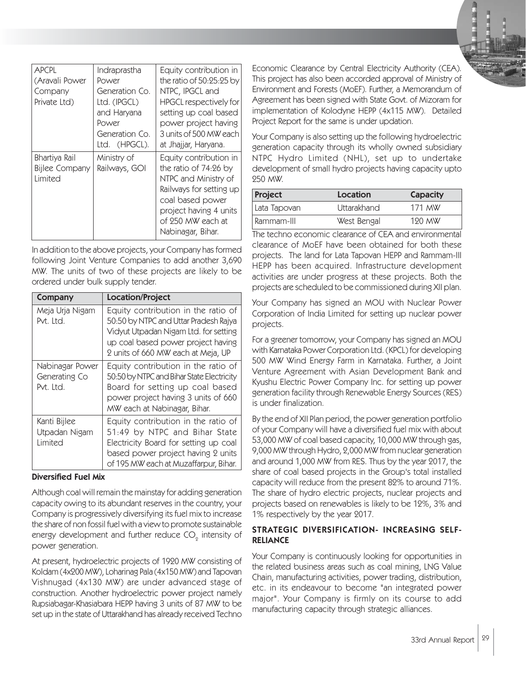| <b>APCPL</b><br>(Aravali Power<br>Company<br>Private Ltd) | Indraprastha<br>Power<br>Generation Co.<br>Ltd. (IPGCL)<br>and Haryana<br>Power<br>Generation Co.<br>Ltd. (HPGCL). | Equity contribution in<br>the ratio of 50:25:25 by<br>NTPC, IPGCL and<br><b>HPGCL respectively for</b><br>setting up coal based<br>power project having<br>3 units of 500 MW each<br>at Jhajjar, Haryana. |
|-----------------------------------------------------------|--------------------------------------------------------------------------------------------------------------------|-----------------------------------------------------------------------------------------------------------------------------------------------------------------------------------------------------------|
| Bhartiya Rail<br><b>Bijlee Company</b><br><b>l</b> imited | Ministry of<br>Railways, GOI                                                                                       | Equity contribution in<br>the ratio of $74:26$ by<br>NTPC and Ministry of<br>Railways for setting up<br>coal based power<br>project having 4 units<br>of 250 MW each at<br>Nabinagar, Bihar.              |

In addition to the above projects, your Company has formed following Joint Venture Companies to add another 3,690 MW. The units of two of these projects are likely to be ordered under bulk supply tender.

| Company                                       | <b>Location/Project</b>                                                                                                                                                                           |
|-----------------------------------------------|---------------------------------------------------------------------------------------------------------------------------------------------------------------------------------------------------|
| Meja Urja Nigam<br>Pvt. Ltd.                  | Equity contribution in the ratio of<br>50:50 by NTPC and Uttar Pradesh Rajya<br>Vidyut Utpadan Nigam Ltd. for setting<br>up coal based power project having<br>2 units of 660 MW each at Meja, UP |
| Nabinagar Power<br>Generating Co<br>Pvt. Ltd. | Equity contribution in the ratio of<br>50:50 by NTPC and Bihar State Electricity<br>Board for setting up coal based<br>power project having 3 units of 660<br>MW each at Nabinagar, Bihar.        |
| Kanti Bijlee<br>Utpadan Nigam<br>Limited      | Equity contribution in the ratio of<br>51:49 by NTPC and Bihar State<br>Electricity Board for setting up coal<br>based power project having 2 units<br>of 195 MW each at Muzaffarpur, Bihar.      |

### Diversified Fuel Mix

Although coal will remain the mainstay for adding generation capacity owing to its abundant reserves in the country, your Company is progressively diversifying its fuel mix to increase the share of non fossil fuel with a view to promote sustainable energy development and further reduce CO $_{\tiny 2}$  intensity of power generation.

At present, hydroelectric projects of 1920 MW consisting of Koldam (4x200 MW), Loharinag Pala (4x150 MW) and Tapovan Vishnugad (4x130 MW) are under advanced stage of construction. Another hydroelectric power project namely Rupsiabagar-Khasiabara HEPP having 3 units of 87 MW to be set up in the state of Uttarakhand has already received Techno

Economic Clearance by Central Electricity Authority (CEA). This project has also been accorded approval of Ministry of Environment and Forests (MoEF). Further, a Memorandum of Agreement has been signed with State Govt. of Mizoram for implementation of Kolodyne HEPP (4x115 MW). Detailed Project Report for the same is under updation.

Your Company is also setting up the following hydroelectric generation capacity through its wholly owned subsidiary NTPC Hydro Limited (NHL), set up to undertake development of small hydro projects having capacity upto 250 MW.

| Project      | Location    | Capacity |
|--------------|-------------|----------|
| Lata Tapovan | Uttarakhand | 171 MW   |
| Rammam-III   | West Bengal | 190 MW   |

The techno economic clearance of CEA and environmental clearance of MoEF have been obtained for both these projects. The land for Lata Tapovan HEPP and Rammam-III HEPP has been acquired. Infrastructure development activities are under progress at these projects. Both the projects are scheduled to be commissioned during XII plan.

Your Company has signed an MOU with Nuclear Power Corporation of India Limited for setting up nuclear power projects.

For a greener tomorrow, your Company has signed an MOU with Karnataka Power Corporation Ltd. (KPCL) for developing 500 MW Wind Energy Farm in Karnataka. Further, a Joint Venture Agreement with Asian Development Bank and Kyushu Electric Power Company Inc. for setting up power generation facility through Renewable Energy Sources (RES) is under finalization.

By the end of XII Plan period, the power generation portfolio of your Company will have a diversified fuel mix with about 53,000 MW of coal based capacity, 10,000 MW through gas, 9,000 MW through Hydro, 2,000 MW from nuclear generation and around 1,000 MW from RES. Thus by the year 2017, the share of coal based projects in the Group's total installed capacity will reduce from the present 82% to around 71%. The share of hydro electric projects, nuclear projects and projects based on renewables is likely to be 12%, 3% and 1% respectively by the year 2017.

## STRATEGIC DIVERSIFICATION- INCREASING SELF-RELIANCE

Your Company is continuously looking for opportunities in the related business areas such as coal mining, LNG Value Chain, manufacturing activities, power trading, distribution, etc. in its endeavour to become "an integrated power major". Your Company is firmly on its course to add manufacturing capacity through strategic alliances.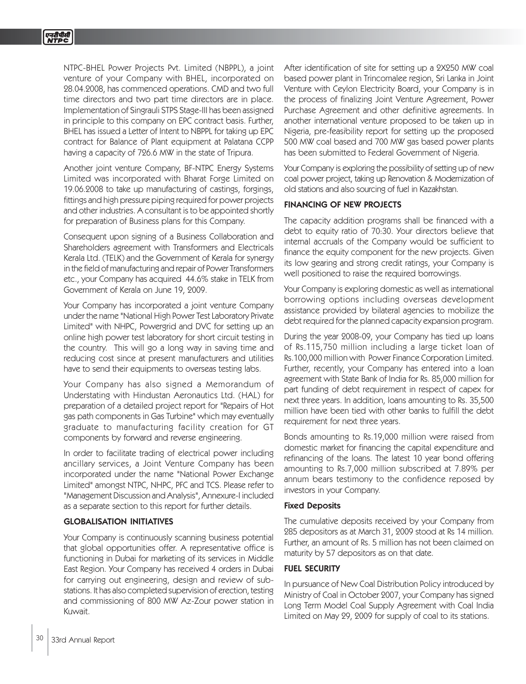NTPC-BHEL Power Projects Pvt. Limited (NBPPL), a joint venture of your Company with BHEL, incorporated on 28.04.2008, has commenced operations. CMD and two full time directors and two part time directors are in place. Implementation of Singrauli STPS Stage-III has been assigned in principle to this company on EPC contract basis. Further, BHEL has issued a Letter of Intent to NBPPL for taking up EPC contract for Balance of Plant equipment at Palatana CCPP having a capacity of 726.6 MW in the state of Tripura.

Another joint venture Company, BF-NTPC Energy Systems Limited was incorporated with Bharat Forge Limited on 19.06.2008 to take up manufacturing of castings, forgings, fittings and high pressure piping required for power projects and other industries. A consultant is to be appointed shortly for preparation of Business plans for this Company.

Consequent upon signing of a Business Collaboration and Shareholders agreement with Transformers and Electricals Kerala Ltd. (TELK) and the Government of Kerala for synergy in the field of manufacturing and repair of Power Transformers etc., your Company has acquired 44.6% stake in TELK from Government of Kerala on June 19, 2009.

Your Company has incorporated a joint venture Company under the name "National High Power Test Laboratory Private Limited" with NHPC, Powergrid and DVC for setting up an online high power test laboratory for short circuit testing in the country. This will go a long way in saving time and reducing cost since at present manufacturers and utilities have to send their equipments to overseas testing labs.

Your Company has also signed a Memorandum of Understating with Hindustan Aeronautics Ltd. (HAL) for preparation of a detailed project report for "Repairs of Hot gas path components in Gas Turbine" which may eventually graduate to manufacturing facility creation for GT components by forward and reverse engineering.

In order to facilitate trading of electrical power including ancillary services, a Joint Venture Company has been incorporated under the name "National Power Exchange Limited" amongst NTPC, NHPC, PFC and TCS. Please refer to "Management Discussion and Analysis", Annexure-I included as a separate section to this report for further details.

## GLOBALISATION INITIATIVES

Your Company is continuously scanning business potential that global opportunities offer. A representative office is functioning in Dubai for marketing of its services in Middle East Region. Your Company has received 4 orders in Dubai for carrying out engineering, design and review of substations. It has also completed supervision of erection, testing and commissioning of 800 MW Az-Zour power station in Kuwait.

After identification of site for setting up a 2X250 MW coal based power plant in Trincomalee region, Sri Lanka in Joint Venture with Ceylon Electricity Board, your Company is in the process of finalizing Joint Venture Agreement, Power Purchase Agreement and other definitive agreements. In another international venture proposed to be taken up in Nigeria, pre-feasibility report for setting up the proposed 500 MW coal based and 700 MW gas based power plants has been submitted to Federal Government of Nigeria.

Your Company is exploring the possibility of setting up of new coal power project, taking up Renovation & Modernization of old stations and also sourcing of fuel in Kazakhstan.

### FINANCING OF NEW PROJECTS

The capacity addition programs shall be financed with a debt to equity ratio of 70:30. Your directors believe that internal accruals of the Company would be sufficient to finance the equity component for the new projects. Given its low gearing and strong credit ratings, your Company is well positioned to raise the required borrowings.

Your Company is exploring domestic as well as international borrowing options including overseas development assistance provided by bilateral agencies to mobilize the debt required for the planned capacity expansion program.

During the year 2008-09, your Company has tied up loans of Rs.115,750 million including a large ticket loan of Rs.100,000 million with Power Finance Corporation Limited. Further, recently, your Company has entered into a loan agreement with State Bank of India for Rs. 85,000 million for part funding of debt requirement in respect of capex for next three years. In addition, loans amounting to Rs. 35,500 million have been tied with other banks to fulfill the debt requirement for next three years.

Bonds amounting to Rs.19,000 million were raised from domestic market for financing the capital expenditure and refinancing of the loans. The latest 10 year bond offering amounting to Rs.7,000 million subscribed at 7.89% per annum bears testimony to the confidence reposed by investors in your Company.

### Fixed Deposits

The cumulative deposits received by your Company from 285 depositors as at March 31, 2009 stood at Rs 14 million. Further, an amount of Rs. 5 million has not been claimed on maturity by 57 depositors as on that date.

### FUEL SECURITY

In pursuance of New Coal Distribution Policy introduced by Ministry of Coal in October 2007, your Company has signed Long Term Model Coal Supply Agreement with Coal India Limited on May 29, 2009 for supply of coal to its stations.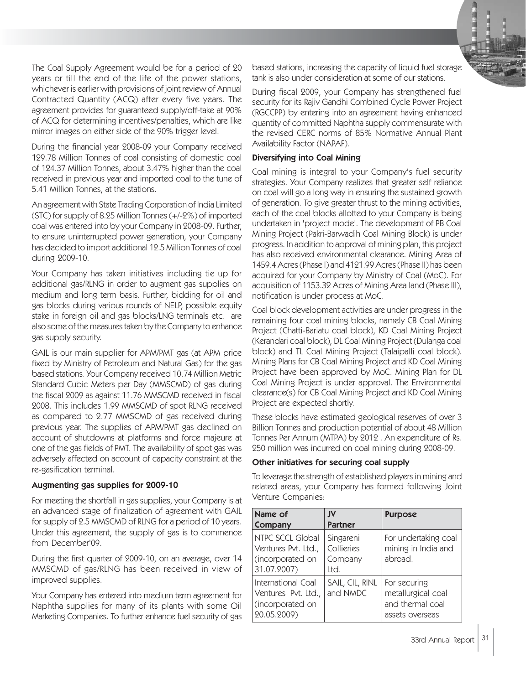

The Coal Supply Agreement would be for a period of 20 years or till the end of the life of the power stations, whichever is earlier with provisions of joint review of Annual Contracted Quantity (ACQ) after every five years. The agreement provides for guaranteed supply/off-take at 90% of ACQ for determining incentives/penalties, which are like mirror images on either side of the 90% trigger level.

During the financial year 2008-09 your Company received 129.78 Million Tonnes of coal consisting of domestic coal of 124.37 Million Tonnes, about 3.47% higher than the coal received in previous year and imported coal to the tune of 5.41 Million Tonnes, at the stations.

An agreement with State Trading Corporation of India Limited (STC) for supply of 8.25 Million Tonnes (+/-2%) of imported coal was entered into by your Company in 2008-09. Further, to ensure uninterrupted power generation, your Company has decided to import additional 12.5 Million Tonnes of coal during 2009-10.

Your Company has taken initiatives including tie up for additional gas/RLNG in order to augment gas supplies on medium and long term basis. Further, bidding for oil and gas blocks during various rounds of NELP, possible equity stake in foreign oil and gas blocks/LNG terminals etc. are also some of the measures taken by the Company to enhance gas supply security.

GAIL is our main supplier for APM/PMT gas (at APM price fixed by Ministry of Petroleum and Natural Gas) for the gas based stations. Your Company received 10.74 Million Metric Standard Cubic Meters per Day (MMSCMD) of gas during the fiscal 2009 as against 11.76 MMSCMD received in fiscal 2008. This includes 1.99 MMSCMD of spot RLNG received as compared to 2.77 MMSCMD of gas received during previous year. The supplies of APM/PMT gas declined on account of shutdowns at platforms and force majeure at one of the gas fields of PMT. The availability of spot gas was adversely affected on account of capacity constraint at the re-gasification terminal.

### Augmenting gas supplies for 2009-10

For meeting the shortfall in gas supplies, your Company is at an advanced stage of finalization of agreement with GAIL for supply of 2.5 MMSCMD of RLNG for a period of 10 years. Under this agreement, the supply of gas is to commence from December'09.

During the first quarter of 2009-10, on an average, over 14 MMSCMD of gas/RLNG has been received in view of improved supplies.

Your Company has entered into medium term agreement for Naphtha supplies for many of its plants with some Oil Marketing Companies. To further enhance fuel security of gas

based stations, increasing the capacity of liquid fuel storage tank is also under consideration at some of our stations.

During fiscal 2009, your Company has strengthened fuel security for its Rajiv Gandhi Combined Cycle Power Project (RGCCPP) by entering into an agreement having enhanced quantity of committed Naphtha supply commensurate with the revised CERC norms of 85% Normative Annual Plant Availability Factor (NAPAF).

## Diversifying into Coal Mining

Coal mining is integral to your Company's fuel security strategies. Your Company realizes that greater self reliance on coal will go a long way in ensuring the sustained growth of generation. To give greater thrust to the mining activities, each of the coal blocks allotted to your Company is being undertaken in 'project mode'. The development of PB Coal Mining Project (Pakri-Barwadih Coal Mining Block) is under progress. In addition to approval of mining plan, this project has also received environmental clearance. Mining Area of 1459.4 Acres (Phase I) and 4121.99 Acres (Phase II) has been acquired for your Company by Ministry of Coal (MoC). For acquisition of 1153.32 Acres of Mining Area land (Phase III), notification is under process at MoC.

Coal block development activities are under progress in the remaining four coal mining blocks, namely CB Coal Mining Project (Chatti-Bariatu coal block), KD Coal Mining Project (Kerandari coal block), DL Coal Mining Project (Dulanga coal block) and TL Coal Mining Project (Talaipalli coal block). Mining Plans for CB Coal Mining Project and KD Coal Mining Project have been approved by MoC. Mining Plan for DL Coal Mining Project is under approval. The Environmental clearance(s) for CB Coal Mining Project and KD Coal Mining Project are expected shortly.

These blocks have estimated geological reserves of over 3 Billion Tonnes and production potential of about 48 Million Tonnes Per Annum (MTPA) by 2012 . An expenditure of Rs. 250 million was incurred on coal mining during 2008-09.

## Other initiatives for securing coal supply

To leverage the strength of established players in mining and related areas, your Company has formed following Joint Venture Companies:

| Name of<br>Company                                                           | IV<br><b>Partner</b>                       | <b>Purpose</b>                                                            |
|------------------------------------------------------------------------------|--------------------------------------------|---------------------------------------------------------------------------|
| NTPC SCCL Global<br>Ventures Pvt. Ltd.,<br>(incorporated on<br>31.07.2007)   | Singareni<br>Collieries<br>Company<br>Ltd. | For undertaking coal<br>mining in India and<br>abroad.                    |
| International Coal<br>Ventures Pvt. Ltd.,<br>(incorporated on<br>20.05.2009) | SAIL, CIL, RINL<br>and NMDC                | For securing<br>metallurgical coal<br>and thermal coal<br>assets overseas |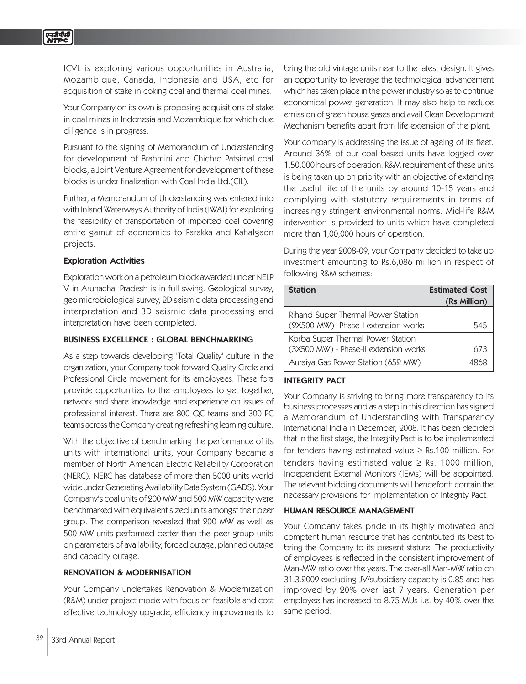ICVL is exploring various opportunities in Australia, Mozambique, Canada, Indonesia and USA, etc for acquisition of stake in coking coal and thermal coal mines.

Your Company on its own is proposing acquisitions of stake in coal mines in Indonesia and Mozambique for which due diligence is in progress.

Pursuant to the signing of Memorandum of Understanding for development of Brahmini and Chichro Patsimal coal blocks, a Joint Venture Agreement for development of these blocks is under finalization with Coal India Ltd.(CIL).

Further, a Memorandum of Understanding was entered into with Inland Waterways Authority of India (IWAI) for exploring the feasibility of transportation of imported coal covering entire gamut of economics to Farakka and Kahalgaon projects.

#### Exploration Activities

Exploration work on a petroleum block awarded under NELP V in Arunachal Pradesh is in full swing. Geological survey, geo microbiological survey, 2D seismic data processing and interpretation and 3D seismic data processing and interpretation have been completed.

#### BUSINESS EXCELLENCE : GLOBAL BENCHMARKING

As a step towards developing 'Total Quality' culture in the organization, your Company took forward Quality Circle and Professional Circle movement for its employees. These fora provide opportunities to the employees to get together, network and share knowledge and experience on issues of professional interest. There are 800 QC teams and 300 PC teams across the Company creating refreshing learning culture.

With the objective of benchmarking the performance of its units with international units, your Company became a member of North American Electric Reliability Corporation (NERC). NERC has database of more than 5000 units world wide under Generating Availability Data System (GADS). Your Company's coal units of 200 MW and 500 MW capacity were benchmarked with equivalent sized units amongst their peer group. The comparison revealed that 200 MW as well as 500 MW units performed better than the peer group units on parameters of availability, forced outage, planned outage and capacity outage.

### RENOVATION & MODERNISATION

Your Company undertakes Renovation & Modernization (R&M) under project mode with focus on feasible and cost effective technology upgrade, efficiency improvements to

bring the old vintage units near to the latest design. It gives an opportunity to leverage the technological advancement which has taken place in the power industry so as to continue economical power generation. It may also help to reduce emission of green house gases and avail Clean Development Mechanism benefits apart from life extension of the plant.

Your company is addressing the issue of ageing of its fleet. Around 36% of our coal based units have logged over 1,50,000 hours of operation. R&M requirement of these units is being taken up on priority with an objective of extending the useful life of the units by around 10-15 years and complying with statutory requirements in terms of increasingly stringent environmental norms. Mid-life R&M intervention is provided to units which have completed more than 1,00,000 hours of operation.

During the year 2008-09, your Company decided to take up investment amounting to Rs.6,086 million in respect of following R&M schemes:

| <b>Station</b>                                                             | <b>Estimated Cost</b> |
|----------------------------------------------------------------------------|-----------------------|
|                                                                            | (Rs Million)          |
| Rihand Super Thermal Power Station<br>(2X500 MW) - Phase-I extension works | 545                   |
| Korba Super Thermal Power Station                                          |                       |
| (3X500 MW) - Phase-II extension works                                      | 673                   |
| Auraiya Gas Power Station (652 MW)                                         | 4865                  |

### INTEGRITY PACT

Your Company is striving to bring more transparency to its business processes and as a step in this direction has signed a Memorandum of Understanding with Transparency International India in December, 2008. It has been decided that in the first stage, the Integrity Pact is to be implemented for tenders having estimated value ≥ Rs.100 million. For tenders having estimated value  $\geq$  Rs. 1000 million, Independent External Monitors (IEMs) will be appointed. The relevant bidding documents will henceforth contain the necessary provisions for implementation of Integrity Pact.

#### HUMAN RESOURCE MANAGEMENT

Your Company takes pride in its highly motivated and comptent human resource that has contributed its best to bring the Company to its present stature. The productivity of employees is reflected in the consistent improvement of Man-MW ratio over the years. The over-all Man-MW ratio on 31.3.2009 excluding JV/subsidiary capacity is 0.85 and has improved by 20% over last 7 years. Generation per employee has increased to 8.75 MUs i.e. by 40% over the same period.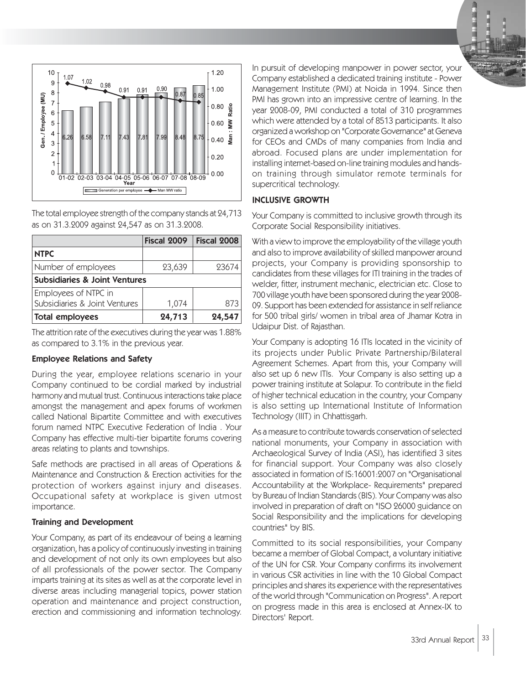

The total employee strength of the company stands at 24,713 as on 31.3.2009 against 24,547 as on 31.3.2008.

|                                          | Fiscal 2009 | <b>Fiscal 2008</b> |
|------------------------------------------|-------------|--------------------|
| <b>NTPC</b>                              |             |                    |
| Number of employees                      | 23,639      | 93674              |
| <b>Subsidiaries &amp; Joint Ventures</b> |             |                    |
| Employees of NTPC in                     |             |                    |
| Subsidiaries & Joint Ventures            | 1,074       | 873                |
| Total employees                          | 24,713      | 24,547             |

The attrition rate of the executives during the year was 1.88% as compared to 3.1% in the previous year.

### Employee Relations and Safety

During the year, employee relations scenario in your Company continued to be cordial marked by industrial harmony and mutual trust. Continuous interactions take place amongst the management and apex forums of workmen called National Bipartite Committee and with executives forum named NTPC Executive Federation of India . Your Company has effective multi-tier bipartite forums covering areas relating to plants and townships.

Safe methods are practised in all areas of Operations & Maintenance and Construction & Erection activities for the protection of workers against injury and diseases. Occupational safety at workplace is given utmost importance.

## Training and Development

Your Company, as part of its endeavour of being a learning organization, has a policy of continuously investing in training and development of not only its own employees but also of all professionals of the power sector. The Company imparts training at its sites as well as at the corporate level in diverse areas including managerial topics, power station operation and maintenance and project construction, erection and commissioning and information technology.

In pursuit of developing manpower in power sector, your Company established a dedicated training institute - Power Management Institute (PMI) at Noida in 1994. Since then PMI has grown into an impressive centre of learning. In the year 2008-09, PMI conducted a total of 310 programmes which were attended by a total of 8513 participants. It also organized a workshop on "Corporate Governance" at Geneva for CEOs and CMDs of many companies from India and abroad. Focused plans are under implementation for installing internet-based on-line training modules and handson training through simulator remote terminals for supercritical technology.

## INCLUSIVE GROWTH

Your Company is committed to inclusive growth through its Corporate Social Responsibility initiatives.

With a view to improve the employability of the village youth and also to improve availability of skilled manpower around projects, your Company is providing sponsorship to candidates from these villages for ITI training in the trades of welder, fitter, instrument mechanic, electrician etc. Close to 700 village youth have been sponsored during the year 2008- 09. Support has been extended for assistance in self reliance for 500 tribal girls/ women in tribal area of Jhamar Kotra in Udaipur Dist. of Rajasthan.

Your Company is adopting 16 ITIs located in the vicinity of its projects under Public Private Partnership/Bilateral Agreement Schemes. Apart from this, your Company will also set up 6 new ITIs. Your Company is also setting up a power training institute at Solapur. To contribute in the field of higher technical education in the country, your Company is also setting up International Institute of Information Technology (IIIT) in Chhattisgarh.

As a measure to contribute towards conservation of selected national monuments, your Company in association with Archaeological Survey of India (ASI), has identified 3 sites for financial support. Your Company was also closely associated in formation of IS:16001:2007 on "Organisational Accountability at the Workplace- Requirements" prepared by Bureau of Indian Standards (BIS). Your Company was also involved in preparation of draft on "ISO 26000 guidance on Social Responsibility and the implications for developing countries" by BIS.

Committed to its social responsibilities, your Company became a member of Global Compact, a voluntary initiative of the UN for CSR. Your Company confirms its involvement in various CSR activities in line with the 10 Global Compact principles and shares its experience with the representatives of the world through "Communication on Progress". A report on progress made in this area is enclosed at Annex-IX to Directors' Report.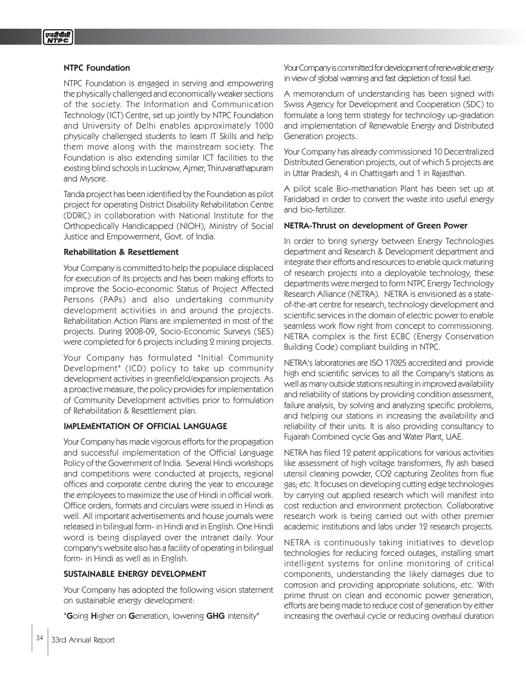#### NTPC Foundation

NTPC Foundation is engaged in serving and empowering the physically challenged and economically weaker sections of the society. The Information and Communication Technology (ICT) Centre, set up jointly by NTPC Foundation and University of Delhi enables approximately 1000 physically challenged students to learn IT Skills and help them move along with the mainstream society. The Foundation is also extending similar ICT facilities to the existing blind schools in Lucknow, Ajmer, Thiruvanathapuram and Mysore.

Tanda project has been identified by the Foundation as pilot project for operating District Disability Rehabilitation Centre (DDRC) in collaboration with National Institute for the Orthopedically Handicapped (NIOH), Ministry of Social Justice and Empowerment, Govt. of India.

#### Rehabilitation & Resettlement

Your Company is committed to help the populace displaced for execution of its projects and has been making efforts to improve the Socio-economic Status of Project Affected Persons (PAPs) and also undertaking community development activities in and around the projects. Rehabilitation Action Plans are implemented in most of the projects. During 2008-09, Socio-Economic Surveys (SES) were completed for 6 projects including 2 mining projects.

Your Company has formulated "Initial Community Development" (ICD) policy to take up community development activities in greenfield/expansion projects. As a proactive measure, the policy provides for implementation of Community Development activities prior to formulation of Rehabilitation & Resettlement plan.

### IMPLEMENTATION OF OFFICIAL LANGUAGE

Your Company has made vigorous efforts for the propagation and successful implementation of the Official Language Policy of the Government of India. Several Hindi workshops and competitions were conducted at projects, regional offices and corporate centre during the year to encourage the employees to maximize the use of Hindi in official work. Office orders, formats and circulars were issued in Hindi as well. All important advertisements and house journals were released in bilingual form- in Hindi and in English. One Hindi word is being displayed over the intranet daily. Your company's website also has a facility of operating in bilingual form- in Hindi as well as in English.

#### SUSTAINABLE ENERGY DEVELOPMENT

Your Company has adopted the following vision statement on sustainable energy development:

"Going Higher on Generation, lowering GHG intensity"

Your Company is committed for development of renewable energy in view of global warming and fast depletion of fossil fuel.

A memorandum of understanding has been signed with Swiss Agency for Development and Cooperation (SDC) to formulate a long term strategy for technology up-gradation and implementation of Renewable Energy and Distributed Generation projects.

Your Company has already commissioned 10 Decentralized Distributed Generation projects, out of which 5 projects are in Uttar Pradesh, 4 in Chattisgarh and 1 in Rajasthan.

A pilot scale Bio-methanation Plant has been set up at Faridabad in order to convert the waste into useful energy and bio-fertilizer.

#### NETRA-Thrust on development of Green Power

In order to bring synergy between Energy Technologies department and Research & Development department and integrate their efforts and resources to enable quick maturing of research projects into a deployable technology, these departments were merged to form NTPC Energy Technology Research Alliance (NETRA). NETRA is envisioned as a stateof-the-art centre for research, technology development and scientific services in the domain of electric power to enable seamless work flow right from concept to commissioning. NETRA complex is the first ECBC (Energy Conservation Building Code) compliant building in NTPC.

NETRA's laboratories are ISO 17025 accredited and provide high end scientific services to all the Company's stations as well as many outside stations resulting in improved availability and reliability of stations by providing condition assessment, failure analysis, by solving and analyzing specific problems, and helping our stations in increasing the availability and reliability of their units. It is also providing consultancy to Fujairah Combined cycle Gas and Water Plant, UAE.

NETRA has filed 12 patent applications for various activities like assessment of high voltage transformers, fly ash based utensil cleaning powder, CO2 capturing Zeolites from flue gas; etc. It focuses on developing cutting edge technologies by carrying out applied research which will manifest into cost reduction and environment protection. Collaborative research work is being carried out with other premier academic institutions and labs under 12 research projects.

NETRA is continuously taking initiatives to develop technologies for reducing forced outages, installing smart intelligent systems for online monitoring of critical components, understanding the likely damages due to corrosion and providing appropriate solutions, etc. With prime thrust on clean and economic power generation, efforts are being made to reduce cost of generation by either increasing the overhaul cycle or reducing overhaul duration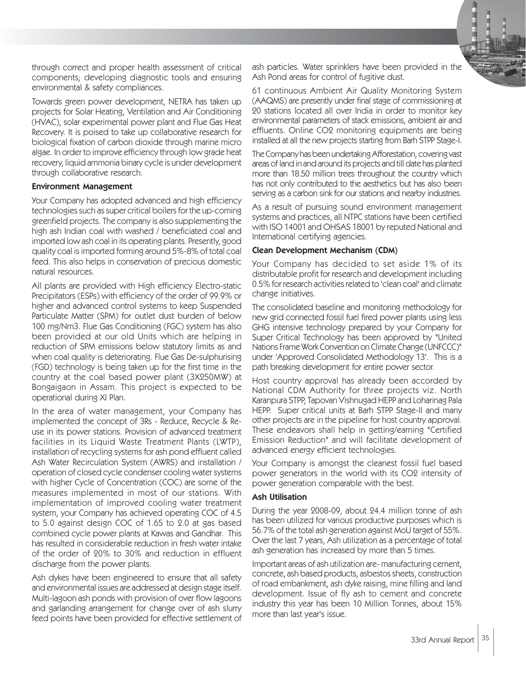

through correct and proper health assessment of critical components; developing diagnostic tools and ensuring environmental & safety compliances.

Towards green power development, NETRA has taken up projects for Solar Heating, Ventilation and Air Conditioning (HVAC), solar experimental power plant and Flue Gas Heat Recovery. It is poised to take up collaborative research for biological fixation of carbon dioxide through marine micro algae. In order to improve efficiency through low grade heat recovery, liquid ammonia binary cycle is under development through collaborative research.

#### Environment Management

Your Company has adopted advanced and high efficiency technologies such as super critical boilers for the up-coming greenfield projects. The company is also supplementing the high ash Indian coal with washed / beneficiated coal and imported low ash coal in its operating plants. Presently, good quality coal is imported forming around 5%-8% of total coal feed. This also helps in conservation of precious domestic natural resources.

All plants are provided with High efficiency Electro-static Precipitators (ESPs) with efficiency of the order of 99.9% or higher and advanced control systems to keep Suspended Particulate Matter (SPM) for outlet dust burden of below 100 mg/Nm3. Flue Gas Conditioning (FGC) system has also been provided at our old Units which are helping in reduction of SPM emissions below statutory limits as and when coal quality is deteriorating. Flue Gas De-sulphurising (FGD) technology is being taken up for the first time in the country at the coal based power plant (3X250MW) at Bongaigaon in Assam. This project is expected to be operational during XI Plan.

In the area of water management, your Company has implemented the concept of 3Rs - Reduce, Recycle & Reuse in its power stations. Provision of advanced treatment facilities in its Liquid Waste Treatment Plants (LWTP), installation of recycling systems for ash pond effluent called Ash Water Recirculation System (AWRS) and installation / operation of closed cycle condenser cooling water systems with higher Cycle of Concentration (COC) are some of the measures implemented in most of our stations. With implementation of improved cooling water treatment system, your Company has achieved operating COC of 4.5 to 5.0 against design COC of 1.65 to 2.0 at gas based combined cycle power plants at Kawas and Gandhar. This has resulted in considerable reduction in fresh water intake of the order of 20% to 30% and reduction in effluent discharge from the power plants.

Ash dykes have been engineered to ensure that all safety and environmental issues are addressed at design stage itself. Multi-lagoon ash ponds with provision of over flow lagoons and garlanding arrangement for change over of ash slurry feed points have been provided for effective settlement of ash particles. Water sprinklers have been provided in the Ash Pond areas for control of fugitive dust.

61 continuous Ambient Air Quality Monitoring System (AAQMS) are presently under final stage of commissioning at 20 stations located all over India in order to monitor key environmental parameters of stack emissions, ambient air and effluents. Online CO2 monitoring equipments are being installed at all the new projects starting from Barh STPP Stage-I.

The Company has been undertaking Afforestation, covering vast areas of land in and around its projects and till date has planted more than 18.50 million trees throughout the country which has not only contributed to the aesthetics but has also been serving as a carbon sink for our stations and nearby industries.

As a result of pursuing sound environment management systems and practices, all NTPC stations have been certified with ISO 14001 and OHSAS 18001 by reputed National and International certifying agencies.

#### Clean Development Mechanism (CDM)

Your Company has decided to set aside 1% of its distributable profit for research and development including 0.5% for research activities related to 'clean coal' and climate change initiatives.

The consolidated baseline and monitoring methodology for new grid connected fossil fuel fired power plants using less GHG intensive technology prepared by your Company for Super Critical Technology has been approved by "United Nations Frame Work Convention on Climate Change (UNFCCC)" under 'Approved Consolidated Methodology 13'. This is a path breaking development for entire power sector.

Host country approval has already been accorded by National CDM Authority for three projects viz. North Karanpura STPP, Tapovan Vishnugad HEPP and Loharinag Pala HEPP. Super critical units at Barh STPP Stage-II and many other projects are in the pipeline for host country approval. These endeavors shall help in getting/earning "Certified Emission Reduction" and will facilitate development of advanced energy efficient technologies.

Your Company is amongst the cleanest fossil fuel based power generators in the world with its CO2 intensity of power generation comparable with the best.

### Ash Utilisation

During the year 2008-09, about 24.4 million tonne of ash has been utilized for various productive purposes which is 56.7% of the total ash generation against MoU target of 55%. Over the last 7 years, Ash utilization as a percentage of total ash generation has increased by more than 5 times.

Important areas of ash utilization are- manufacturing cement, concrete, ash based products, asbestos sheets, construction of road embankment, ash dyke raising, mine filling and land development. Issue of fly ash to cement and concrete industry this year has been 10 Million Tonnes, about 15% more than last year's issue.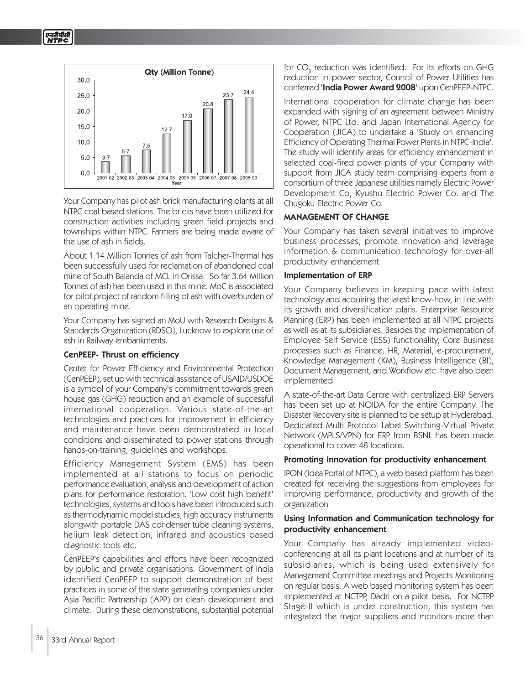

Your Company has pilot ash brick manufacturing plants at all NTPC coal based stations. The bricks have been utilized for construction activities including green field projects and townships within NTPC. Farmers are being made aware of the use of ash in fields.

About 1.14 Million Tonnes of ash from Talcher-Thermal has been successfully used for reclamation of abandoned coal mine of South Balanda of MCL in Orissa. So far 3.64 Million Tonnes of ash has been used in this mine. MoC is associated for pilot project of random filling of ash with overburden of an operating mine.

Your Company has signed an MoU with Research Designs & Standards Organization (RDSO), Lucknow to explore use of ash in Railway embankments.

## CenPEEP- Thrust on efficiency

Center for Power Efficiency and Environmental Protection (CenPEEP), set up with technical assistance of USAID/USDOE is a symbol of your Company's commitment towards green house gas (GHG) reduction and an example of successful international cooperation. Various state-of-the-art technologies and practices for improvement in efficiency and maintenance have been demonstrated in local conditions and disseminated to power stations through hands-on-training, guidelines and workshops.

Efficiency Management System (EMS) has been implemented at all stations to focus on periodic performance evaluation, analysis and development of action plans for performance restoration. 'Low cost high benefit' technologies, systems and tools have been introduced such as thermodynamic model studies, high accuracy instruments alongwith portable DAS condenser tube cleaning systems, helium leak detection, infrared and acoustics based diagnostic tools etc.

CenPEEP's capabilities and efforts have been recognized by public and private organisations. Government of India identified CenPEEP to support demonstration of best practices in some of the state generating companies under Asia Pacific Partnership (APP) on clean development and climate. During these demonstrations, substantial potential

for CO $_{\tiny 2}$  reduction was identified. For its efforts on GHG reduction in power sector, Council of Power Utilities has conferred 'India Power Award 2008' upon CenPEEP-NTPC.

International cooperation for climate change has been expanded with signing of an agreement between Ministry of Power, NTPC Ltd. and Japan International Agency for Cooperation (JICA) to undertake a 'Study on enhancing Efficiency of Operating Thermal Power Plants in NTPC-India'. The study will identify areas for efficiency enhancement in selected coal-fired power plants of your Company with support from JICA study team comprising experts from a consortium of three Japanese utilities namely Electric Power Development Co, Kyushu Electric Power Co. and The Chugoku Electric Power Co.

## MANAGEMENT OF CHANGE

Your Company has taken several initiatives to improve business processes, promote innovation and leverage information & communication technology for over-all productivity enhancement.

### Implementation of ERP

Your Company believes in keeping pace with latest technology and acquiring the latest know-how, in line with its growth and diversification plans. Enterprise Resource Planning (ERP) has been implemented at all NTPC projects as well as at its subsidiaries. Besides the implementation of Employee Self Service (ESS) functionality, Core Business processes such as Finance, HR, Material, e-procurement, Knowledge Management (KM), Business Intelligence (BI), Document Management, and Workflow etc. have also been implemented.

A state-of-the-art Data Centre with centralized ERP Servers has been set up at NOIDA for the entire Company. The Disaster Recovery site is planned to be setup at Hyderabad. Dedicated Multi Protocol Label Switching-Virtual Private Network (MPLS/VPN) for ERP from BSNL has been made operational to cover 48 locations.

### Promoting Innovation for productivity enhancement

IPON (Idea Portal of NTPC), a web based platform has been created for receiving the suggestions from employees for improving performance, productivity and growth of the organization

### Using Information and Communication technology for productivity enhancement

Your Company has already implemented videoconferencing at all its plant locations and at number of its subsidiaries, which is being used extensively for Management Committee meetings and Projects Monitoring on regular basis. A web based monitoring system has been implemented at NCTPP, Dadri on a pilot basis. For NCTPP Stage-II which is under construction, this system has integrated the major suppliers and monitors more than